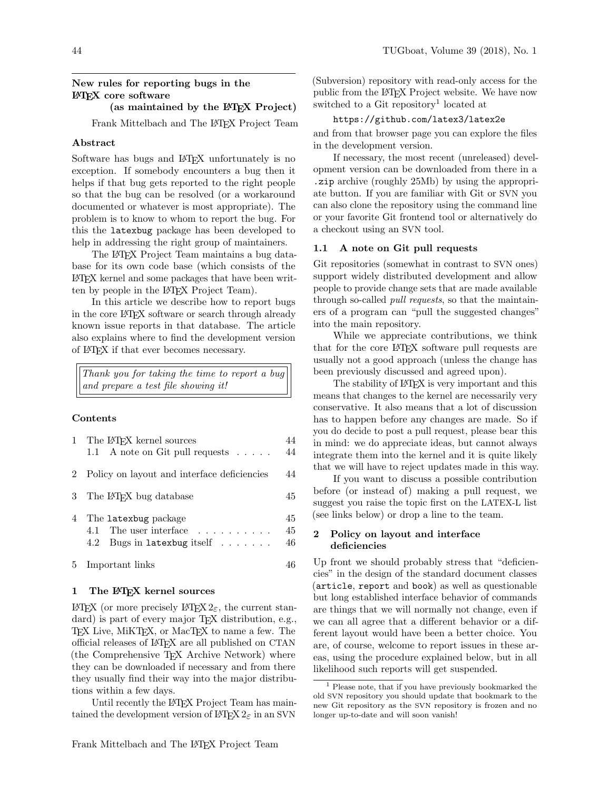# New rules for reporting bugs in the LATEX core software

#### (as maintained by the LAT<sub>EX</sub> Project)

Frank Mittelbach and The LAT<sub>EX</sub> Project Team

#### Abstract

Software has bugs and L<sup>AT</sup>EX unfortunately is no exception. If somebody encounters a bug then it helps if that bug gets reported to the right people so that the bug can be resolved (or a workaround documented or whatever is most appropriate). The problem is to know to whom to report the bug. For this the latexbug package has been developed to help in addressing the right group of maintainers.

The L<sup>AT</sup>EX Project Team maintains a bug database for its own code base (which consists of the LATEX kernel and some packages that have been written by people in the LAT<sub>EX</sub> Project Team).

In this article we describe how to report bugs in the core LATEX software or search through already known issue reports in that database. The article also explains where to find the development version of LATEX if that ever becomes necessary.

Thank you for taking the time to report a bug and prepare a test file showing it!

#### Contents

|    | 1 The L <sup>AT</sup> FX kernel sources<br>1.1 A note on Git pull requests $\dots$ .                                 | 44             |
|----|----------------------------------------------------------------------------------------------------------------------|----------------|
|    | 2 Policy on layout and interface deficiencies                                                                        | 44             |
| 3  | The L <sup>A</sup> T <sub>F</sub> X bug database                                                                     | 45             |
| 4  | The latexbug package<br>4.1 The user interface $\dots \dots \dots$<br>Bugs in latexbug itself $\ldots \ldots$<br>4.2 | 45<br>45<br>46 |
| 5. | Important links                                                                                                      |                |

# <span id="page-0-0"></span>1 The LATEX kernel sources

LATEX (or more precisely LATEX 2<sub>ε</sub>, the current standard) is part of every major TEX distribution, e.g., TEX Live, MiKTEX, or MacTEX to name a few. The official releases of LATEX are all published on CTAN (the Comprehensive TEX Archive Network) where they can be downloaded if necessary and from there they usually find their way into the major distributions within a few days.

Until recently the LAT<sub>EX</sub> Project Team has maintained the development version of  $\mathbb{H}$ T<sub>E</sub>X  $2_{\varepsilon}$  in an SVN

(Subversion) repository with read-only access for the public from the LATEX Project website. We have now switched to a Git repository<sup>[1](#page-0-3)</sup> located at

# <https://github.com/latex3/latex2e>

and from that browser page you can explore the files in the development version.

If necessary, the most recent (unreleased) development version can be downloaded from there in a .zip archive (roughly 25Mb) by using the appropriate button. If you are familiar with Git or SVN you can also clone the repository using the command line or your favorite Git frontend tool or alternatively do a checkout using an SVN tool.

## <span id="page-0-1"></span>1.1 A note on Git pull requests

Git repositories (somewhat in contrast to SVN ones) support widely distributed development and allow people to provide change sets that are made available through so-called *pull requests*, so that the maintainers of a program can "pull the suggested changes" into the main repository.

While we appreciate contributions, we think that for the core LATEX software pull requests are usually not a good approach (unless the change has been previously discussed and agreed upon).

The stability of LAT<sub>EX</sub> is very important and this means that changes to the kernel are necessarily very conservative. It also means that a lot of discussion has to happen before any changes are made. So if you do decide to post a pull request, please bear this in mind: we do appreciate ideas, but cannot always integrate them into the kernel and it is quite likely that we will have to reject updates made in this way.

If you want to discuss a possible contribution before (or instead of) making a pull request, we suggest you raise the topic first on the LATEX-L list (see links below) or drop a line to the team.

## <span id="page-0-2"></span>2 Policy on layout and interface deficiencies

Up front we should probably stress that "deficiencies" in the design of the standard document classes (article, report and book) as well as questionable but long established interface behavior of commands are things that we will normally not change, even if we can all agree that a different behavior or a different layout would have been a better choice. You are, of course, welcome to report issues in these areas, using the procedure explained below, but in all likelihood such reports will get suspended.

<span id="page-0-3"></span><sup>1</sup> Please note, that if you have previously bookmarked the old SVN repository you should update that bookmark to the new Git repository as the SVN repository is frozen and no longer up-to-date and will soon vanish!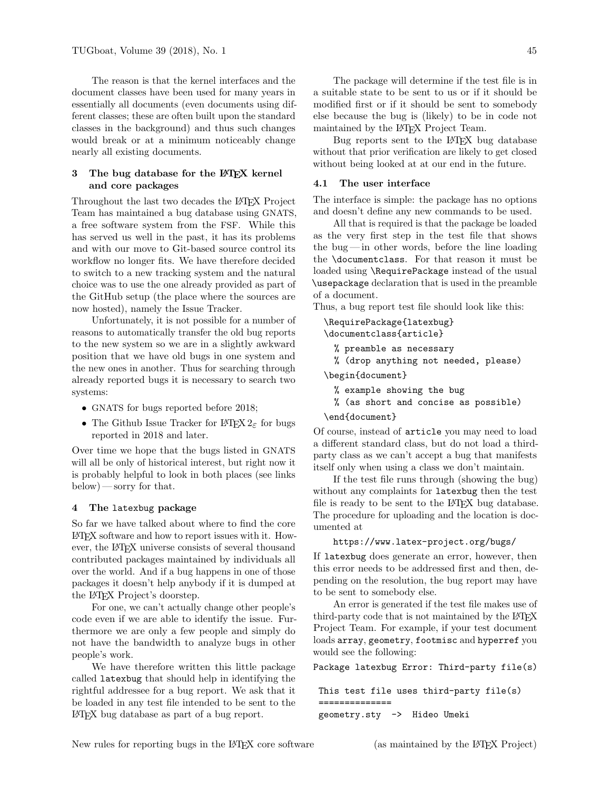The reason is that the kernel interfaces and the document classes have been used for many years in essentially all documents (even documents using different classes; these are often built upon the standard classes in the background) and thus such changes would break or at a minimum noticeably change nearly all existing documents.

# <span id="page-1-0"></span>3 The bug database for the LAT<sub>EX</sub> kernel and core packages

Throughout the last two decades the LAT<sub>EX</sub> Project Team has maintained a bug database using GNATS, a free software system from the FSF. While this has served us well in the past, it has its problems and with our move to Git-based source control its workflow no longer fits. We have therefore decided to switch to a new tracking system and the natural choice was to use the one already provided as part of the GitHub setup (the place where the sources are now hosted), namely the Issue Tracker.

Unfortunately, it is not possible for a number of reasons to automatically transfer the old bug reports to the new system so we are in a slightly awkward position that we have old bugs in one system and the new ones in another. Thus for searching through already reported bugs it is necessary to search two systems:

- GNATS [for bugs reported before 2018;](https://www.latex-project.org/cgi-bin/ltxbugs2html)
- [The Github Issue Tracker for](https://github.com/latex3/latex2e/issues)  $\mathbb{F}$ FEX  $2\varepsilon$  for bugs reported in 2018 and later.

Over time we hope that the bugs listed in GNATS will all be only of historical interest, but right now it is probably helpful to look in both places (see links below) — sorry for that.

#### <span id="page-1-1"></span>4 The latexbug package

So far we have talked about where to find the core LATEX software and how to report issues with it. However, the LATEX universe consists of several thousand contributed packages maintained by individuals all over the world. And if a bug happens in one of those packages it doesn't help anybody if it is dumped at the LATEX Project's doorstep.

For one, we can't actually change other people's code even if we are able to identify the issue. Furthermore we are only a few people and simply do not have the bandwidth to analyze bugs in other people's work.

We have therefore written this little package called latexbug that should help in identifying the rightful addressee for a bug report. We ask that it be loaded in any test file intended to be sent to the LATEX bug database as part of a bug report.

The package will determine if the test file is in a suitable state to be sent to us or if it should be modified first or if it should be sent to somebody else because the bug is (likely) to be in code not maintained by the LATEX Project Team.

Bug reports sent to the LATEX bug database without that prior verification are likely to get closed without being looked at at our end in the future.

#### <span id="page-1-2"></span>4.1 The user interface

The interface is simple: the package has no options and doesn't define any new commands to be used.

All that is required is that the package be loaded as the very first step in the test file that shows the bug— in other words, before the line loading the \documentclass. For that reason it must be loaded using \RequirePackage instead of the usual \usepackage declaration that is used in the preamble of a document.

Thus, a bug report test file should look like this:

\RequirePackage{latexbug} \documentclass{article}

```
% preamble as necessary
```
% (drop anything not needed, please)

\begin{document}

- % example showing the bug
- % (as short and concise as possible)

#### \end{document}

Of course, instead of article you may need to load a different standard class, but do not load a thirdparty class as we can't accept a bug that manifests itself only when using a class we don't maintain.

If the test file runs through (showing the bug) without any complaints for latexbug then the test file is ready to be sent to the LAT<sub>EX</sub> bug database. The procedure for uploading and the location is documented at

```
https://www.latex-project.org/bugs/
```
If latexbug does generate an error, however, then this error needs to be addressed first and then, depending on the resolution, the bug report may have to be sent to somebody else.

An error is generated if the test file makes use of third-party code that is not maintained by the LAT<sub>EX</sub> Project Team. For example, if your test document loads array, geometry, footmisc and hyperref you would see the following:

Package latexbug Error: Third-party file(s)

This test file uses third-party file(s) ============== geometry.sty -> Hideo Umeki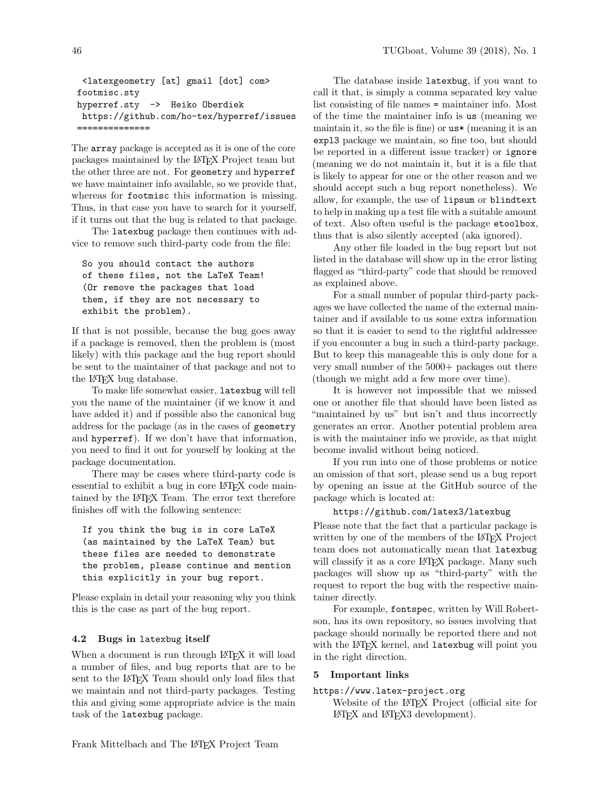```
<latexgeometry [at] gmail [dot] com>
footmisc.sty
hyperref.sty -> Heiko Oberdiek
 https://github.com/ho-tex/hyperref/issues
==============
```
The array package is accepted as it is one of the core packages maintained by the LATEX Project team but the other three are not. For geometry and hyperref we have maintainer info available, so we provide that, whereas for footmisc this information is missing. Thus, in that case you have to search for it yourself, if it turns out that the bug is related to that package.

The latexbug package then continues with advice to remove such third-party code from the file:

```
So you should contact the authors
of these files, not the LaTeX Team!
(Or remove the packages that load
them, if they are not necessary to
exhibit the problem).
```
If that is not possible, because the bug goes away if a package is removed, then the problem is (most likely) with this package and the bug report should be sent to the maintainer of that package and not to the LATEX bug database.

To make life somewhat easier, latexbug will tell you the name of the maintainer (if we know it and have added it) and if possible also the canonical bug address for the package (as in the cases of geometry and hyperref). If we don't have that information, you need to find it out for yourself by looking at the package documentation.

There may be cases where third-party code is essential to exhibit a bug in core LAT<sub>EX</sub> code maintained by the LAT<sub>EX</sub> Team. The error text therefore finishes off with the following sentence:

```
If you think the bug is in core LaTeX
(as maintained by the LaTeX Team) but
these files are needed to demonstrate
the problem, please continue and mention
this explicitly in your bug report.
```
Please explain in detail your reasoning why you think this is the case as part of the bug report.

#### <span id="page-2-0"></span>4.2 Bugs in latexbug itself

When a document is run through LAT<sub>EX</sub> it will load a number of files, and bug reports that are to be sent to the LAT<sub>F</sub>X Team should only load files that we maintain and not third-party packages. Testing this and giving some appropriate advice is the main task of the latexbug package.

The database inside latexbug, if you want to call it that, is simply a comma separated key value list consisting of file names = maintainer info. Most of the time the maintainer info is us (meaning we maintain it, so the file is fine) or us\* (meaning it is an expl3 package we maintain, so fine too, but should be reported in a different issue tracker) or ignore (meaning we do not maintain it, but it is a file that is likely to appear for one or the other reason and we should accept such a bug report nonetheless). We allow, for example, the use of lipsum or blindtext to help in making up a test file with a suitable amount of text. Also often useful is the package etoolbox, thus that is also silently accepted (aka ignored).

Any other file loaded in the bug report but not listed in the database will show up in the error listing flagged as "third-party" code that should be removed as explained above.

For a small number of popular third-party packages we have collected the name of the external maintainer and if available to us some extra information so that it is easier to send to the rightful addressee if you encounter a bug in such a third-party package. But to keep this manageable this is only done for a very small number of the 5000+ packages out there (though we might add a few more over time).

It is however not impossible that we missed one or another file that should have been listed as "maintained by us" but isn't and thus incorrectly generates an error. Another potential problem area is with the maintainer info we provide, as that might become invalid without being noticed.

If you run into one of those problems or notice an omission of that sort, please send us a bug report by opening an issue at the GitHub source of the package which is located at:

#### <https://github.com/latex3/latexbug>

Please note that the fact that a particular package is written by one of the members of the LAT<sub>EX</sub> Project team does not automatically mean that latexbug will classify it as a core L<sup>AT</sup>EX package. Many such packages will show up as "third-party" with the request to report the bug with the respective maintainer directly.

For example, fontspec, written by Will Robertson, has its own repository, so issues involving that package should normally be reported there and not with the L<sup>A</sup>T<sub>F</sub>X kernel, and latexbug will point you in the right direction.

## <span id="page-2-1"></span>5 Important links

# <https://www.latex-project.org>

Website of the LAT<sub>EX</sub> Project (official site for LATEX and LATEX3 development).